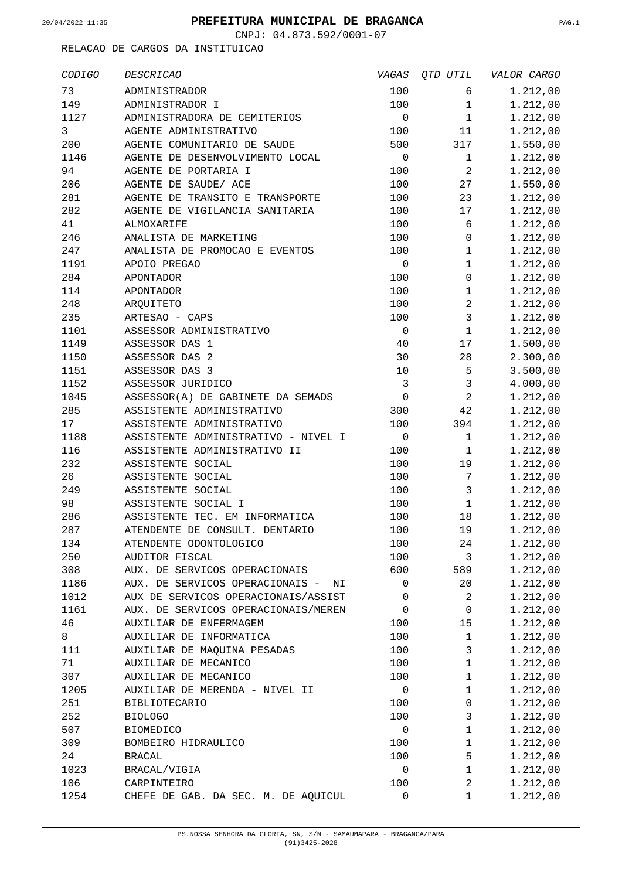CNPJ: 04.873.592/0001-07

| CODIGO | <i>DESCRICAO</i>                    | VAGAS        | OTD UTIL             | VALOR CARGO |
|--------|-------------------------------------|--------------|----------------------|-------------|
| 73     | ADMINISTRADOR                       | 100          | 6                    | 1.212,00    |
| 149    | ADMINISTRADOR I                     | 100          | $\mathbf{1}$         | 1.212,00    |
| 1127   | ADMINISTRADORA DE CEMITERIOS        | $\mathbf 0$  | $\mathbf{1}$         | 1.212,00    |
| 3      | AGENTE ADMINISTRATIVO               | 100          | 11                   | 1.212,00    |
| 200    | AGENTE COMUNITARIO DE SAUDE         | 500          | 317                  | 1.550,00    |
| 1146   | AGENTE DE DESENVOLVIMENTO LOCAL     | $\mathbf 0$  | $\mathbf{1}$         | 1.212,00    |
| 94     | AGENTE DE PORTARIA I                | 100          | $\overline{a}$       | 1.212,00    |
| 206    | AGENTE DE SAUDE/ ACE                | 100          | 27                   | 1.550,00    |
| 281    | AGENTE DE TRANSITO E TRANSPORTE     | 100          | 23                   | 1.212,00    |
| 282    | AGENTE DE VIGILANCIA SANITARIA      | 100          | 17                   | 1.212,00    |
| 41     | ALMOXARIFE                          | 100          | 6                    | 1.212,00    |
| 246    | ANALISTA DE MARKETING               | 100          | $\mathbf 0$          | 1.212,00    |
| 247    | ANALISTA DE PROMOCAO E EVENTOS      | 100          | $\mathbf{1}$         | 1.212,00    |
| 1191   | APOIO PREGAO                        | $\mathbf 0$  | $\mathbf 1$          | 1.212,00    |
| 284    | APONTADOR                           | 100          | 0                    | 1.212,00    |
| 114    | APONTADOR                           | 100          | $\mathbf{1}$         | 1.212,00    |
| 248    | ARQUITETO                           | 100          | $\overline{a}$       | 1.212,00    |
| 235    | ARTESAO - CAPS                      | 100          | $\mathbf{3}$         | 1.212,00    |
| 1101   | ASSESSOR ADMINISTRATIVO             | $\mathsf 0$  | $\mathbf{1}$         | 1.212,00    |
| 1149   | ASSESSOR DAS 1                      | 40           | 17                   | 1.500,00    |
| 1150   | ASSESSOR DAS 2                      | 30           | 28                   | 2.300,00    |
| 1151   | ASSESSOR DAS 3                      | 10           | 5                    | 3.500,00    |
| 1152   | ASSESSOR JURIDICO                   | $\mathbf{3}$ | $\mathbf{3}$         | 4.000,00    |
| 1045   | ASSESSOR(A) DE GABINETE DA SEMADS   | $\mathsf 0$  | 2                    | 1.212,00    |
| 285    | ASSISTENTE ADMINISTRATIVO           | 300          | 42                   | 1.212,00    |
| 17     | ASSISTENTE ADMINISTRATIVO           | 100          | 394                  | 1.212,00    |
| 1188   | ASSISTENTE ADMINISTRATIVO - NIVEL I | 0            | $\mathbf{1}$         | 1.212,00    |
| 116    | ASSISTENTE ADMINISTRATIVO II        | 100          | $\mathbf{1}$         | 1.212,00    |
| 232    | ASSISTENTE SOCIAL                   | 100          | 19                   | 1.212,00    |
| 26     | ASSISTENTE SOCIAL                   | 100          | 7                    | 1.212,00    |
| 249    | ASSISTENTE SOCIAL                   | 100          | $\mathbf{3}$         | 1.212,00    |
| 98     | ASSISTENTE SOCIAL I                 | 100          | $\mathbf{1}$         | 1.212,00    |
| 286    | ASSISTENTE TEC. EM INFORMATICA      | 100          | 18                   | 1.212,00    |
| 287    | ATENDENTE DE CONSULT. DENTARIO      | 100          | 19                   | 1.212,00    |
| 134    | ATENDENTE ODONTOLOGICO              | 100          | 24                   | 1.212,00    |
| 250    | AUDITOR FISCAL                      | 100          | 3                    | 1.212,00    |
|        |                                     | 600          |                      |             |
| 308    | AUX. DE SERVICOS OPERACIONAIS       | 0            | 589                  | 1.212,00    |
| 1186   | AUX. DE SERVICOS OPERACIONAIS - NI  | 0            | 20<br>$\overline{2}$ | 1.212,00    |
| 1012   | AUX DE SERVICOS OPERACIONAIS/ASSIST |              |                      | 1.212,00    |
| 1161   | AUX. DE SERVICOS OPERACIONAIS/MEREN | 0            | $\mathbf 0$          | 1.212,00    |
| 46     | AUXILIAR DE ENFERMAGEM              | 100          | 15                   | 1.212,00    |
| 8      | AUXILIAR DE INFORMATICA             | 100          | $\mathbf{1}$         | 1.212,00    |
| 111    | AUXILIAR DE MAQUINA PESADAS         | 100          | 3                    | 1.212,00    |
| 71     | AUXILIAR DE MECANICO                | 100          | $\mathbf 1$          | 1.212,00    |
| 307    | AUXILIAR DE MECANICO                | 100          | $\mathbf{1}$         | 1.212,00    |
| 1205   | AUXILIAR DE MERENDA - NIVEL II      | 0            | $\mathbf{1}$         | 1.212,00    |
| 251    | <b>BIBLIOTECARIO</b>                | 100          | 0                    | 1.212,00    |
| 252    | <b>BIOLOGO</b>                      | 100          | 3                    | 1.212,00    |
| 507    | <b>BIOMEDICO</b>                    | 0            | $\mathbf{1}$         | 1.212,00    |
| 309    | BOMBEIRO HIDRAULICO                 | 100          | $\mathbf{1}$         | 1.212,00    |
| 24     | <b>BRACAL</b>                       | 100          | 5                    | 1.212,00    |
| 1023   | BRACAL/VIGIA                        | 0            | $\mathbf 1$          | 1.212,00    |
| 106    | CARPINTEIRO                         | 100          | $\overline{a}$       | 1.212,00    |
| 1254   | CHEFE DE GAB. DA SEC. M. DE AQUICUL | 0            | $\mathbf 1$          | 1.212,00    |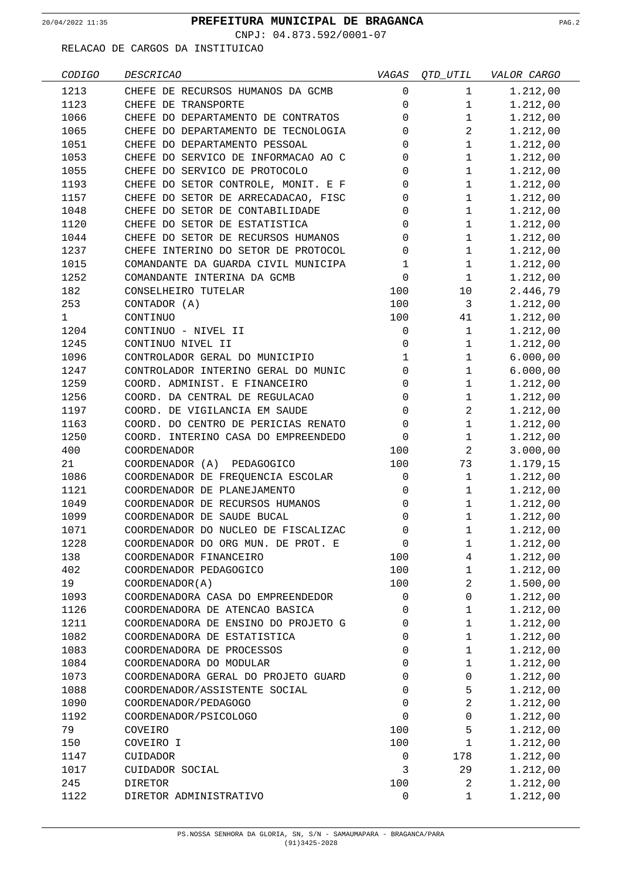CNPJ: 04.873.592/0001-07

| CODIGO | <b>DESCRICAO</b>                    | VAGAS          | OTD UTIL       | VALOR CARGO |
|--------|-------------------------------------|----------------|----------------|-------------|
| 1213   | CHEFE DE RECURSOS HUMANOS DA GCMB   | 0              | $\mathbf{1}$   | 1.212,00    |
| 1123   | CHEFE DE TRANSPORTE                 | 0              | $\mathbf{1}$   | 1.212,00    |
| 1066   | CHEFE DO DEPARTAMENTO DE CONTRATOS  | 0              | $\mathbf{1}$   | 1.212,00    |
| 1065   | CHEFE DO DEPARTAMENTO DE TECNOLOGIA | 0              | $\overline{a}$ | 1.212,00    |
| 1051   | CHEFE DO DEPARTAMENTO PESSOAL       | 0              | $\mathbf{1}$   | 1.212,00    |
| 1053   | CHEFE DO SERVICO DE INFORMACAO AO C | 0              | $\mathbf{1}$   | 1.212,00    |
| 1055   | CHEFE DO SERVICO DE PROTOCOLO       | 0              | $\mathbf{1}$   | 1.212,00    |
| 1193   | CHEFE DO SETOR CONTROLE, MONIT. E F | 0              | $\mathbf{1}$   | 1.212,00    |
| 1157   | CHEFE DO SETOR DE ARRECADACAO, FISC | 0              | $\mathbf{1}$   | 1.212,00    |
| 1048   | CHEFE DO SETOR DE CONTABILIDADE     | 0              | $\mathbf 1$    | 1.212,00    |
| 1120   | CHEFE DO SETOR DE ESTATISTICA       | 0              | $\mathbf{1}$   | 1.212,00    |
| 1044   | CHEFE DO SETOR DE RECURSOS HUMANOS  | 0              | $\mathbf{1}$   | 1.212,00    |
| 1237   | CHEFE INTERINO DO SETOR DE PROTOCOL | 0              | $\mathbf{1}$   | 1.212,00    |
| 1015   | COMANDANTE DA GUARDA CIVIL MUNICIPA | 1              | $\mathbf{1}$   | 1.212,00    |
| 1252   | COMANDANTE INTERINA DA GCMB         | 0              | $\mathbf{1}$   | 1.212,00    |
| 182    | CONSELHEIRO TUTELAR                 | 100            | 10             | 2.446,79    |
| 253    | CONTADOR (A)                        | 100            | 3              | 1.212,00    |
| 1      | CONTINUO                            | 100            | 41             | 1.212,00    |
| 1204   | CONTINUO - NIVEL II                 | 0              | $\mathbf{1}$   | 1.212,00    |
| 1245   | CONTINUO NIVEL II                   | 0              | $\mathbf{1}$   | 1.212,00    |
| 1096   | CONTROLADOR GERAL DO MUNICIPIO      | 1              | $\mathbf{1}$   | 6.000,00    |
| 1247   | CONTROLADOR INTERINO GERAL DO MUNIC | 0              | $\mathbf{1}$   | 6.000,00    |
| 1259   | COORD. ADMINIST. E FINANCEIRO       | 0              | $\mathbf{1}$   | 1.212,00    |
| 1256   | COORD. DA CENTRAL DE REGULACAO      | 0              | $\mathbf{1}$   | 1.212,00    |
| 1197   | COORD. DE VIGILANCIA EM SAUDE       | 0              | 2              | 1.212,00    |
| 1163   | COORD. DO CENTRO DE PERICIAS RENATO | 0              | $\mathbf{1}$   | 1.212,00    |
| 1250   | COORD. INTERINO CASA DO EMPREENDEDO | 0              | $\mathbf{1}$   | 1.212,00    |
| 400    | <b>COORDENADOR</b>                  | 100            | $\overline{a}$ | 3.000,00    |
| 21     | COORDENADOR (A) PEDAGOGICO          | 100            | 73             | 1.179,15    |
| 1086   | COORDENADOR DE FREQUENCIA ESCOLAR   | 0              | $\mathbf{1}$   | 1.212,00    |
| 1121   | COORDENADOR DE PLANEJAMENTO         | 0              | $\mathbf{1}$   | 1.212,00    |
| 1049   | COORDENADOR DE RECURSOS HUMANOS     | 0              | $\mathbf{1}$   | 1.212,00    |
| 1099   | COORDENADOR DE SAUDE BUCAL          | 0              | $\mathbf{1}$   | 1.212,00    |
| 1071   | COORDENADOR DO NUCLEO DE FISCALIZAC | $\overline{0}$ | $\mathbf{1}$   | 1.212,00    |
| 1228   | COORDENADOR DO ORG MUN. DE PROT. E  | $\mathbf 0$    | $\mathbf 1$    | 1.212,00    |
| 138    | COORDENADOR FINANCEIRO              | 100            | $\overline{4}$ | 1.212,00    |
| 402    | COORDENADOR PEDAGOGICO              | 100            | 1              | 1.212,00    |
| 19     | COORDENADOR(A)                      | 100            | 2              | 1.500,00    |
| 1093   | COORDENADORA CASA DO EMPREENDEDOR   | 0              | 0              | 1.212,00    |
| 1126   | COORDENADORA DE ATENCAO BASICA      | 0              | $\mathbf{1}$   | 1.212,00    |
| 1211   | COORDENADORA DE ENSINO DO PROJETO G | 0              | $\mathbf{1}$   | 1.212,00    |
| 1082   | COORDENADORA DE ESTATISTICA         | 0              | $\mathbf{1}$   | 1.212,00    |
| 1083   | COORDENADORA DE PROCESSOS           | 0              | $\mathbf{1}$   | 1.212,00    |
| 1084   | COORDENADORA DO MODULAR             | 0              | $\mathbf{1}$   | 1.212,00    |
| 1073   | COORDENADORA GERAL DO PROJETO GUARD | 0              | 0              | 1.212,00    |
| 1088   | COORDENADOR/ASSISTENTE SOCIAL       | 0              | 5              | 1.212,00    |
| 1090   | COORDENADOR/PEDAGOGO                | 0              | 2              | 1.212,00    |
| 1192   | COORDENADOR/PSICOLOGO               | 0              | 0              | 1.212,00    |
| 79     | COVEIRO                             | 100            | 5              | 1.212,00    |
| 150    | COVEIRO I                           | 100            | $\mathbf{1}$   | 1.212,00    |
| 1147   | CUIDADOR                            | 0              | 178            | 1.212,00    |
| 1017   | CUIDADOR SOCIAL                     | 3              | 29             | 1.212,00    |
| 245    | DIRETOR                             | 100            | 2              | 1.212,00    |
| 1122   | DIRETOR ADMINISTRATIVO              | 0              | $\mathbf 1$    | 1.212,00    |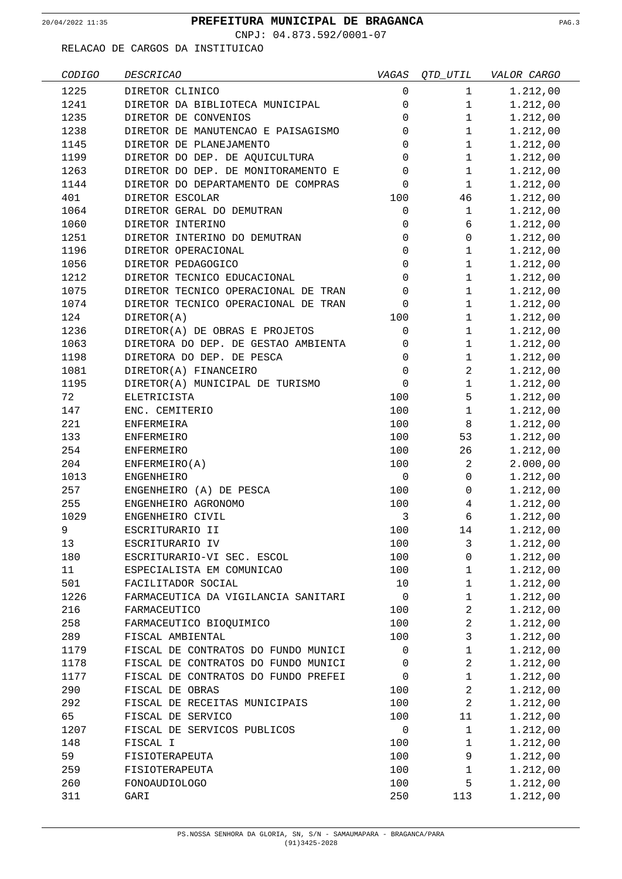CNPJ: 04.873.592/0001-07

| CODIGO | <b>DESCRICAO</b>                    | VAGAS               | QTD_UTIL       | VALOR CARGO |
|--------|-------------------------------------|---------------------|----------------|-------------|
| 1225   | DIRETOR CLINICO                     | 0                   | $\mathbf{1}$   | 1.212,00    |
| 1241   | DIRETOR DA BIBLIOTECA MUNICIPAL     | 0                   | $\mathbf 1$    | 1.212,00    |
| 1235   | DIRETOR DE CONVENIOS                | $\mathbf 0$         | $\mathbf{1}$   | 1.212,00    |
| 1238   | DIRETOR DE MANUTENCAO E PAISAGISMO  | 0                   | $\mathbf{1}$   | 1.212,00    |
| 1145   | DIRETOR DE PLANEJAMENTO             | 0                   | $\mathbf{1}$   | 1.212,00    |
| 1199   | DIRETOR DO DEP. DE AQUICULTURA      | 0                   | $\mathbf{1}$   | 1.212,00    |
| 1263   | DIRETOR DO DEP. DE MONITORAMENTO E  | 0                   | $\mathbf{1}$   | 1.212,00    |
| 1144   | DIRETOR DO DEPARTAMENTO DE COMPRAS  | 0                   | $\mathbf{1}$   | 1.212,00    |
| 401    | DIRETOR ESCOLAR                     | 100                 | 46             | 1.212,00    |
| 1064   | DIRETOR GERAL DO DEMUTRAN           | $\mathsf{O}\xspace$ | $\mathbf{1}$   | 1.212,00    |
| 1060   | DIRETOR INTERINO                    | 0                   | 6              | 1.212,00    |
| 1251   | DIRETOR INTERINO DO DEMUTRAN        | $\mathbf 0$         | $\overline{0}$ | 1.212,00    |
| 1196   | DIRETOR OPERACIONAL                 | 0                   | $\mathbf{1}$   | 1.212,00    |
| 1056   | DIRETOR PEDAGOGICO                  | 0                   | $\mathbf{1}$   | 1.212,00    |
| 1212   | DIRETOR TECNICO EDUCACIONAL         | $\mathbf 0$         | 1              | 1.212,00    |
| 1075   | DIRETOR TECNICO OPERACIONAL DE TRAN | 0                   | $\mathbf{1}$   | 1.212,00    |
| 1074   | DIRETOR TECNICO OPERACIONAL DE TRAN | 0                   | $\mathbf{1}$   | 1.212,00    |
| 124    | DIRETOR(A)                          | 100                 | $\mathbf{1}$   | 1.212,00    |
| 1236   | DIRETOR(A) DE OBRAS E PROJETOS      | $\mathsf 0$         | $\mathbf{1}$   | 1.212,00    |
| 1063   | DIRETORA DO DEP. DE GESTAO AMBIENTA | 0                   | $\mathbf{1}$   | 1.212,00    |
| 1198   | DIRETORA DO DEP. DE PESCA           | 0                   | $\mathbf{1}$   | 1.212,00    |
|        | DIRETOR(A) FINANCEIRO               | $\mathbf 0$         | $\overline{a}$ |             |
| 1081   |                                     | $\mathbf 0$         |                | 1.212,00    |
| 1195   | DIRETOR(A) MUNICIPAL DE TURISMO     |                     | 1              | 1.212,00    |
| 72     | ELETRICISTA                         | 100                 | 5              | 1.212,00    |
| 147    | ENC. CEMITERIO                      | 100                 | $\mathbf{1}$   | 1.212,00    |
| 221    | ENFERMEIRA                          | 100                 | 8              | 1.212,00    |
| 133    | <b>ENFERMEIRO</b>                   | 100                 | 53             | 1.212,00    |
| 254    | <b>ENFERMEIRO</b>                   | 100                 | 26             | 1.212,00    |
| 204    | ENFERMEIRO(A)                       | 100                 | 2              | 2.000,00    |
| 1013   | <b>ENGENHEIRO</b>                   | 0                   | 0              | 1.212,00    |
| 257    | ENGENHEIRO (A) DE PESCA             | 100                 | 0              | 1.212,00    |
| 255    | ENGENHEIRO AGRONOMO                 | 100                 | 4              | 1.212,00    |
| 1029   | ENGENHEIRO CIVIL                    | $\mathfrak{Z}$      | 6              | 1.212,00    |
| 9      | ESCRITURARIO II                     | 100                 | 14             | 1.212,00    |
| 13     | ESCRITURARIO IV                     | 100                 | 3              | 1.212,00    |
| 180    | ESCRITURARIO-VI SEC. ESCOL          | 100                 | 0              | 1.212,00    |
| 11     | ESPECIALISTA EM COMUNICAO           | 100                 | $\mathbf{1}$   | 1.212,00    |
| 501    | FACILITADOR SOCIAL                  | 10                  | $\mathbf{1}$   | 1.212,00    |
| 1226   | FARMACEUTICA DA VIGILANCIA SANITARI | $\mathbf 0$         | $\mathbf 1$    | 1.212,00    |
| 216    | FARMACEUTICO                        | 100                 | $\overline{a}$ | 1.212,00    |
| 258    | FARMACEUTICO BIOQUIMICO             | 100                 | 2              | 1.212,00    |
| 289    | FISCAL AMBIENTAL                    | 100                 | $\mathbf{3}$   | 1.212,00    |
| 1179   | FISCAL DE CONTRATOS DO FUNDO MUNICI | 0                   | $\mathbf 1$    | 1.212,00    |
| 1178   | FISCAL DE CONTRATOS DO FUNDO MUNICI | 0                   | $\overline{a}$ | 1.212,00    |
| 1177   | FISCAL DE CONTRATOS DO FUNDO PREFEI | 0                   | $\mathbf 1$    | 1.212,00    |
| 290    | FISCAL DE OBRAS                     | 100                 | $\overline{a}$ | 1.212,00    |
| 292    | FISCAL DE RECEITAS MUNICIPAIS       | 100                 | $\overline{a}$ | 1.212,00    |
| 65     | FISCAL DE SERVICO                   | 100                 | 11             | 1.212,00    |
| 1207   | FISCAL DE SERVICOS PUBLICOS         | $\mathsf 0$         | $\mathbf 1$    | 1.212,00    |
| 148    | FISCAL I                            | 100                 | $\mathbf 1$    | 1.212,00    |
| 59     | FISIOTERAPEUTA                      | 100                 | 9              | 1.212,00    |
| 259    | FISIOTERAPEUTA                      | 100                 | $\mathbf{1}$   | 1.212,00    |
| 260    | FONOAUDIOLOGO                       | 100                 | 5              | 1.212,00    |
| 311    | GARI                                | 250                 | 113            | 1.212,00    |
|        |                                     |                     |                |             |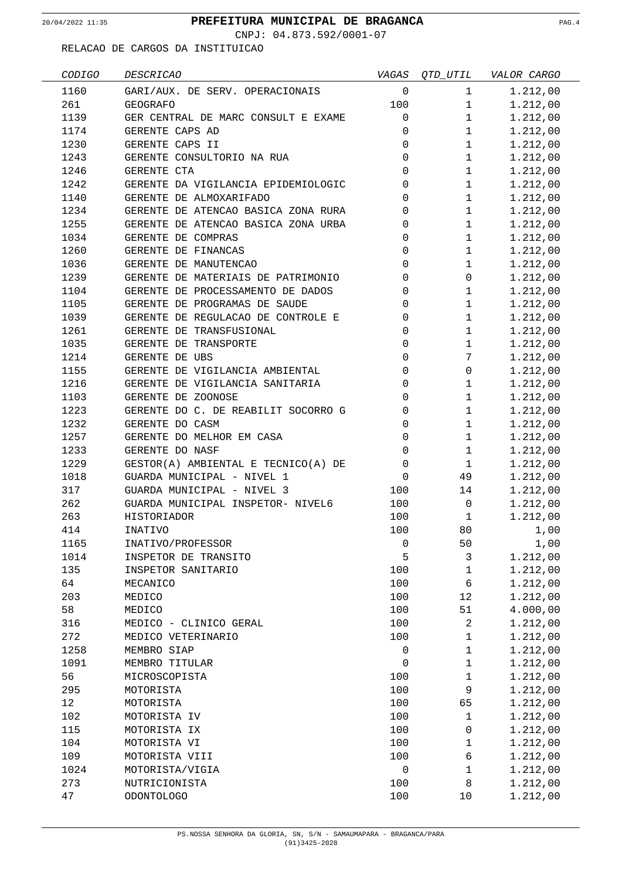CNPJ: 04.873.592/0001-07

| CODIGO | <b>DESCRICAO</b>                    | VAGAS          | <i>QTD_UTIL</i> | VALOR CARGO |
|--------|-------------------------------------|----------------|-----------------|-------------|
| 1160   | GARI/AUX. DE SERV. OPERACIONAIS     | 0              | 1               | 1.212,00    |
| 261    | <b>GEOGRAFO</b>                     | 100            | $\mathbf 1$     | 1.212,00    |
| 1139   | GER CENTRAL DE MARC CONSULT E EXAME | 0              | $\mathbf 1$     | 1.212,00    |
| 1174   | GERENTE CAPS AD                     | 0              | $\mathbf{1}$    | 1.212,00    |
| 1230   | GERENTE CAPS II                     | 0              | $\mathbf{1}$    | 1.212,00    |
| 1243   | GERENTE CONSULTORIO NA RUA          | 0              | $\mathbf{1}$    | 1.212,00    |
| 1246   | GERENTE CTA                         | 0              | $\mathbf{1}$    | 1.212,00    |
| 1242   | GERENTE DA VIGILANCIA EPIDEMIOLOGIC | 0              | $\mathbf{1}$    | 1.212,00    |
| 1140   | GERENTE DE ALMOXARIFADO             | 0              | $\mathbf{1}$    | 1.212,00    |
| 1234   | GERENTE DE ATENCAO BASICA ZONA RURA | 0              | $\mathbf 1$     | 1.212,00    |
| 1255   | GERENTE DE ATENCAO BASICA ZONA URBA | 0              | $\mathbf{1}$    | 1.212,00    |
| 1034   | GERENTE DE COMPRAS                  | 0              | $\mathbf{1}$    | 1.212,00    |
| 1260   | GERENTE DE FINANCAS                 | 0              | $\mathbf{1}$    | 1.212,00    |
| 1036   | GERENTE DE MANUTENCAO               | 0              | 1               | 1.212,00    |
| 1239   | GERENTE DE MATERIAIS DE PATRIMONIO  | 0              | 0               | 1.212,00    |
| 1104   | GERENTE DE PROCESSAMENTO DE DADOS   | $\Omega$       | $\mathbf{1}$    | 1.212,00    |
| 1105   | GERENTE DE PROGRAMAS DE SAUDE       | 0              | $\mathbf 1$     | 1.212,00    |
| 1039   | GERENTE DE REGULACAO DE CONTROLE E  | 0              | $\mathbf 1$     | 1.212,00    |
| 1261   | GERENTE DE TRANSFUSIONAL            | 0              | 1               | 1.212,00    |
|        | GERENTE DE TRANSPORTE               |                |                 |             |
| 1035   |                                     | 0              | $\mathbf{1}$    | 1.212,00    |
| 1214   | GERENTE DE UBS                      | 0              | 7               | 1.212,00    |
| 1155   | GERENTE DE VIGILANCIA AMBIENTAL     | 0              | $\mathbf 0$     | 1.212,00    |
| 1216   | GERENTE DE VIGILANCIA SANITARIA     | 0              | $\mathbf{1}$    | 1.212,00    |
| 1103   | GERENTE DE ZOONOSE                  | 0              | $\mathbf{1}$    | 1.212,00    |
| 1223   | GERENTE DO C. DE REABILIT SOCORRO G | 0              | 1               | 1.212,00    |
| 1232   | GERENTE DO CASM                     | 0              | $\mathbf{1}$    | 1.212,00    |
| 1257   | GERENTE DO MELHOR EM CASA           | 0              | $\mathbf{1}$    | 1.212,00    |
| 1233   | GERENTE DO NASF                     | 0              | $\mathbf{1}$    | 1.212,00    |
| 1229   | GESTOR(A) AMBIENTAL E TECNICO(A) DE | $\mathbf 0$    | $\mathbf{1}$    | 1.212,00    |
| 1018   | GUARDA MUNICIPAL - NIVEL 1          | $\mathbf 0$    | 49              | 1.212,00    |
| 317    | GUARDA MUNICIPAL - NIVEL 3          | 100            | 14              | 1.212,00    |
| 262    | GUARDA MUNICIPAL INSPETOR- NIVEL6   | 100            | $\mathbf 0$     | 1.212,00    |
| 263    | HISTORIADOR                         | 100            | 1               | 1.212,00    |
| 414    | INATIVO                             | 100            | 80              | 1,00        |
| 1165   | INATIVO/PROFESSOR                   | $\overline{0}$ | 50              | 1,00        |
| 1014   | INSPETOR DE TRANSITO                | 5              | $\mathsf{3}$    | 1.212,00    |
| 135    | INSPETOR SANITARIO                  | 100            | $\mathbf 1$     | 1.212,00    |
| 64     | MECANICO                            | 100            | 6               | 1.212,00    |
| 203    | MEDICO                              | 100            | 12              | 1.212,00    |
| 58     | MEDICO                              | 100            | 51              | 4.000,00    |
| 316    | MEDICO - CLINICO GERAL              | 100            | 2               | 1.212,00    |
| 272    | MEDICO VETERINARIO                  | 100            | 1               | 1.212,00    |
| 1258   | MEMBRO SIAP                         | 0              | $\mathbf 1$     | 1.212,00    |
| 1091   | MEMBRO TITULAR                      | $\mathbf 0$    | $\mathbf 1$     | 1.212,00    |
| 56     | MICROSCOPISTA                       | 100            | $\mathbf 1$     | 1.212,00    |
| 295    | MOTORISTA                           | 100            | 9               | 1.212,00    |
| 12     | MOTORISTA                           | 100            | 65              | 1.212,00    |
| 102    | MOTORISTA IV                        | 100            | $\mathbf 1$     | 1.212,00    |
| 115    | MOTORISTA IX                        | 100            | 0               | 1.212,00    |
| 104    | MOTORISTA VI                        | 100            | $\mathbf 1$     | 1.212,00    |
| 109    | MOTORISTA VIII                      | 100            | 6               | 1.212,00    |
| 1024   | MOTORISTA/VIGIA                     | $\mathbf 0$    | $\mathbf 1$     | 1.212,00    |
| 273    | NUTRICIONISTA                       | 100            | 8               | 1.212,00    |
| 47     | ODONTOLOGO                          | 100            | 10              | 1.212,00    |
|        |                                     |                |                 |             |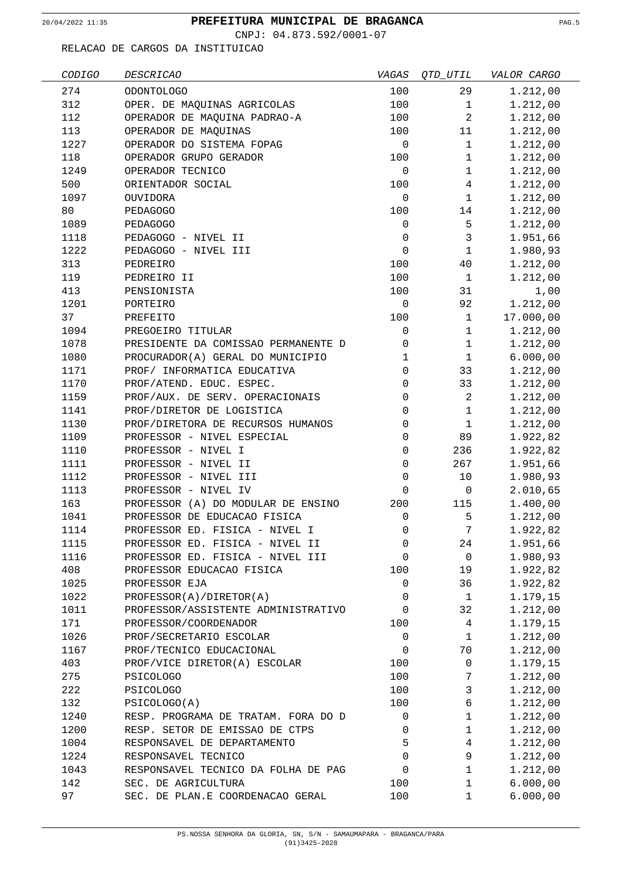CNPJ: 04.873.592/0001-07

| CODIGO | <b>DESCRICAO</b>                    | VAGAS        | <i>QTD_UTIL</i> | VALOR CARGO |
|--------|-------------------------------------|--------------|-----------------|-------------|
| 274    | <b>ODONTOLOGO</b>                   | 100          | 29              | 1.212,00    |
| 312    | OPER. DE MAQUINAS AGRICOLAS         | 100          | $\mathbf{1}$    | 1.212,00    |
| 112    | OPERADOR DE MAQUINA PADRAO-A        | 100          | $\overline{a}$  | 1.212,00    |
| 113    | OPERADOR DE MAQUINAS                | 100          | 11              | 1.212,00    |
| 1227   | OPERADOR DO SISTEMA FOPAG           | $\mathbf 0$  | $\mathbf{1}$    | 1.212,00    |
| 118    | OPERADOR GRUPO GERADOR              | 100          | $\mathbf{1}$    | 1.212,00    |
| 1249   | OPERADOR TECNICO                    | 0            | $\mathbf{1}$    | 1.212,00    |
| 500    | ORIENTADOR SOCIAL                   | 100          | $\overline{4}$  | 1.212,00    |
| 1097   | OUVIDORA                            | $\mathbf 0$  | $\mathbf{1}$    | 1.212,00    |
| 80     | PEDAGOGO                            | 100          | 14              | 1.212,00    |
| 1089   | PEDAGOGO                            | $\mathsf 0$  | 5               | 1.212,00    |
| 1118   | PEDAGOGO - NIVEL II                 | $\mathbf 0$  | $\mathbf{3}$    | 1.951,66    |
| 1222   | PEDAGOGO - NIVEL III                | $\mathbf 0$  | $\mathbf{1}$    | 1.980,93    |
| 313    | PEDREIRO                            | 100          | 40              | 1.212,00    |
| 119    | PEDREIRO II                         | 100          | $\mathbf{1}$    | 1.212,00    |
| 413    | PENSIONISTA                         | 100          | 31              | 1,00        |
| 1201   | PORTEIRO                            | $\mathbf 0$  | 92              | 1.212,00    |
| 37     | PREFEITO                            | 100          | $\mathbf{1}$    | 17.000,00   |
| 1094   | PREGOEIRO TITULAR                   | $\mathsf 0$  | $\mathbf{1}$    | 1.212,00    |
| 1078   | PRESIDENTE DA COMISSAO PERMANENTE D | 0            | $\mathbf{1}$    | 1.212,00    |
| 1080   | PROCURADOR(A) GERAL DO MUNICIPIO    | $\mathbf{1}$ | $\mathbf{1}$    | 6.000,00    |
| 1171   | PROF/ INFORMATICA EDUCATIVA         | 0            | 33              | 1.212,00    |
| 1170   | PROF/ATEND. EDUC. ESPEC.            | 0            | 33              | 1.212,00    |
| 1159   | PROF/AUX. DE SERV. OPERACIONAIS     | 0            | $\overline{2}$  | 1.212,00    |
| 1141   | PROF/DIRETOR DE LOGISTICA           | 0            | $\mathbf{1}$    | 1.212,00    |
| 1130   | PROF/DIRETORA DE RECURSOS HUMANOS   | 0            | $\mathbf{1}$    | 1.212,00    |
| 1109   | PROFESSOR - NIVEL ESPECIAL          | 0            | 89              | 1.922,82    |
| 1110   | PROFESSOR - NIVEL I                 | $\mathbf 0$  | 236             | 1.922,82    |
| 1111   | PROFESSOR - NIVEL II                | 0            | 267             | 1.951,66    |
| 1112   | PROFESSOR - NIVEL III               | 0            | 10              | 1.980,93    |
| 1113   | PROFESSOR - NIVEL IV                | $\mathbf 0$  | $\mathsf{O}$    | 2.010,65    |
| 163    | PROFESSOR (A) DO MODULAR DE ENSINO  | 200          | 115             | 1.400,00    |
| 1041   | PROFESSOR DE EDUCACAO FISICA        | 0            | 5               | 1.212,00    |
| 1114   | PROFESSOR ED. FISICA - NIVEL I      | 0            | 7               | 1.922,82    |
| 1115   | PROFESSOR ED. FISICA - NIVEL II     | 0            | 24              | 1.951,66    |
| 1116   | PROFESSOR ED. FISICA - NIVEL III    | 0            | $\mathbf 0$     | 1.980,93    |
| 408    | PROFESSOR EDUCACAO FISICA           | 100          | 19              | 1.922,82    |
| 1025   | PROFESSOR EJA                       | 0            | 36              | 1.922,82    |
| 1022   | PROFESSOR(A)/DIRETOR(A)             | 0            | $\mathbf{1}$    | 1.179,15    |
| 1011   | PROFESSOR/ASSISTENTE ADMINISTRATIVO | 0            | 32              | 1.212,00    |
| 171    | PROFESSOR/COORDENADOR               | 100          | 4               | 1.179,15    |
| 1026   | PROF/SECRETARIO ESCOLAR             | $\mathbf 0$  | $\mathbf{1}$    | 1.212,00    |
| 1167   | PROF/TECNICO EDUCACIONAL            | 0            | 70              | 1.212,00    |
| 403    | PROF/VICE DIRETOR(A) ESCOLAR        | 100          | 0               | 1.179,15    |
| 275    | <b>PSICOLOGO</b>                    | 100          | 7               | 1.212,00    |
| 222    | <b>PSICOLOGO</b>                    | 100          | 3               | 1.212,00    |
| 132    | PSICOLOGO(A)                        | 100          | 6               | 1.212,00    |
| 1240   | RESP. PROGRAMA DE TRATAM. FORA DO D | 0            | $\mathbf 1$     | 1.212,00    |
| 1200   | RESP. SETOR DE EMISSAO DE CTPS      | 0            | $\mathbf 1$     | 1.212,00    |
| 1004   | RESPONSAVEL DE DEPARTAMENTO         | 5            | $\overline{4}$  | 1.212,00    |
| 1224   | RESPONSAVEL TECNICO                 | 0            | 9               | 1.212,00    |
| 1043   | RESPONSAVEL TECNICO DA FOLHA DE PAG | 0            | 1               | 1.212,00    |
| 142    | SEC. DE AGRICULTURA                 | 100          | 1               | 6.000,00    |
| 97     | SEC. DE PLAN.E COORDENACAO GERAL    | 100          | 1               | 6.000,00    |